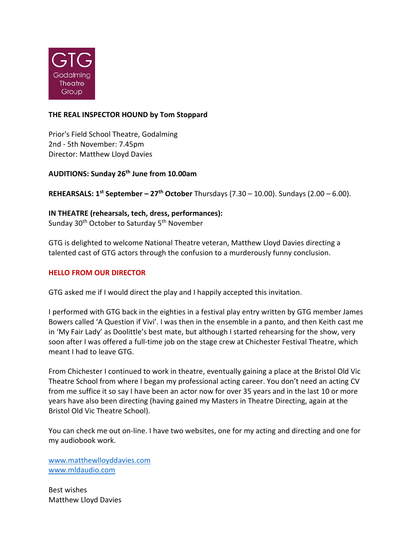

### **THE REAL INSPECTOR HOUND by Tom Stoppard**

Prior's Field School Theatre, Godalming 2nd - 5th November: 7.45pm Director: Matthew Lloyd Davies

### **AUDITIONS: Sunday 26th June from 10.00am**

**REHEARSALS: 1st September – 27th October** Thursdays (7.30 – 10.00). Sundays (2.00 – 6.00).

**IN THEATRE (rehearsals, tech, dress, performances):** 

Sunday 30<sup>th</sup> October to Saturday 5<sup>th</sup> November

GTG is delighted to welcome National Theatre veteran, Matthew Lloyd Davies directing a talented cast of GTG actors through the confusion to a murderously funny conclusion.

### **HELLO FROM OUR DIRECTOR**

GTG asked me if I would direct the play and I happily accepted this invitation.

I performed with GTG back in the eighties in a festival play entry written by GTG member James Bowers called 'A Question if Vivi'. I was then in the ensemble in a panto, and then Keith cast me in 'My Fair Lady' as Doolittle's best mate, but although I started rehearsing for the show, very soon after I was offered a full-time job on the stage crew at Chichester Festival Theatre, which meant I had to leave GTG.

From Chichester I continued to work in theatre, eventually gaining a place at the Bristol Old Vic Theatre School from where I began my professional acting career. You don't need an acting CV from me suffice it so say I have been an actor now for over 35 years and in the last 10 or more years have also been directing (having gained my Masters in Theatre Directing, again at the Bristol Old Vic Theatre School).

You can check me out on-line. I have two websites, one for my acting and directing and one for my audiobook work.

[www.matthewlloyddavies.com](http://www.matthewlloyddavies.com/) [www.mldaudio.com](http://www.mldaudio.com/)

Best wishes Matthew Lloyd Davies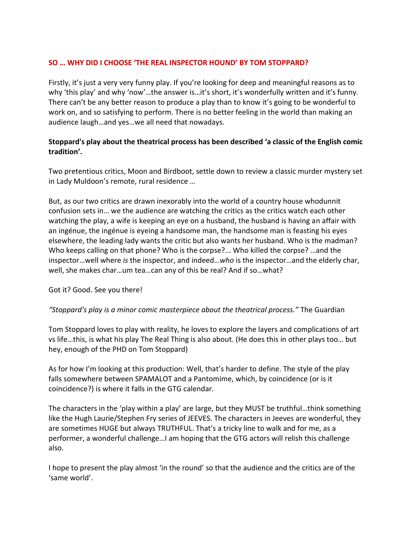## **SO … WHY DID I CHOOSE 'THE REAL INSPECTOR HOUND' BY TOM STOPPARD?**

Firstly, it's just a very very funny play. If you're looking for deep and meaningful reasons as to why 'this play' and why 'now'…the answer is…it's short, it's wonderfully written and it's funny. There can't be any better reason to produce a play than to know it's going to be wonderful to work on, and so satisfying to perform. There is no better feeling in the world than making an audience laugh…and yes…we all need that nowadays.

## **Stoppard's play about the theatrical process has been described 'a classic of the English comic tradition'.**

Two pretentious critics, Moon and Birdboot, settle down to review a classic murder mystery set in Lady Muldoon's remote, rural residence …

But, as our two critics are drawn inexorably into the world of a country house whodunnit confusion sets in… we the audience are watching the critics as the critics watch each other watching the play, a wife is keeping an eye on a husband, the husband is having an affair with an ingénue, the ingénue is eyeing a handsome man, the handsome man is feasting his eyes elsewhere, the leading lady wants the critic but also wants her husband. Who is the madman? Who keeps calling on that phone? Who is the corpse?... Who killed the corpse? …and the inspector…well where *is* the inspector, and indeed…*who* is the inspector…and the elderly char, well, she makes char…um tea…can any of this be real? And if so…what?

Got it? Good. See you there!

### *"Stoppard's play is a minor comic masterpiece about the theatrical process."* The Guardian

Tom Stoppard loves to play with reality, he loves to explore the layers and complications of art vs life…this, is what his play The Real Thing is also about. (He does this in other plays too… but hey, enough of the PHD on Tom Stoppard)

As for how I'm looking at this production: Well, that's harder to define. The style of the play falls somewhere between SPAMALOT and a Pantomime, which, by coincidence (or is it coincidence?) is where it falls in the GTG calendar.

The characters in the 'play within a play' are large, but they MUST be truthful…think something like the Hugh Laurie/Stephen Fry series of JEEVES. The characters in Jeeves are wonderful, they are sometimes HUGE but always TRUTHFUL. That's a tricky line to walk and for me, as a performer, a wonderful challenge…I am hoping that the GTG actors will relish this challenge also.

I hope to present the play almost 'in the round' so that the audience and the critics are of the 'same world'.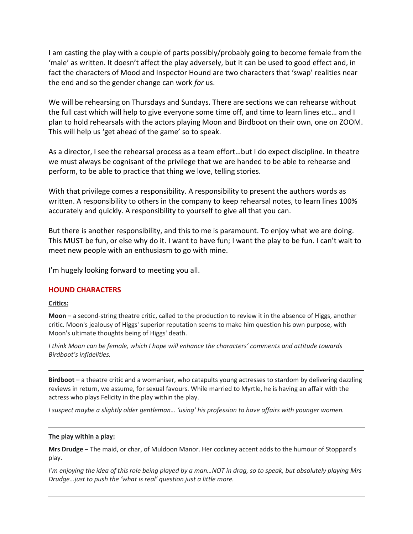I am casting the play with a couple of parts possibly/probably going to become female from the 'male' as written. It doesn't affect the play adversely, but it can be used to good effect and, in fact the characters of Mood and Inspector Hound are two characters that 'swap' realities near the end and so the gender change can work *for* us.

We will be rehearsing on Thursdays and Sundays. There are sections we can rehearse without the full cast which will help to give everyone some time off, and time to learn lines etc… and I plan to hold rehearsals with the actors playing Moon and Birdboot on their own, one on ZOOM. This will help us 'get ahead of the game' so to speak.

As a director, I see the rehearsal process as a team effort…but I do expect discipline. In theatre we must always be cognisant of the privilege that we are handed to be able to rehearse and perform, to be able to practice that thing we love, telling stories.

With that privilege comes a responsibility. A responsibility to present the authors words as written. A responsibility to others in the company to keep rehearsal notes, to learn lines 100% accurately and quickly. A responsibility to yourself to give all that you can.

But there is another responsibility, and this to me is paramount. To enjoy what we are doing. This MUST be fun, or else why do it. I want to have fun; I want the play to be fun. I can't wait to meet new people with an enthusiasm to go with mine.

I'm hugely looking forward to meeting you all.

#### **HOUND CHARACTERS**

#### **Critics:**

**Moon** – a second-string theatre critic, called to the production to review it in the absence of Higgs, another critic. Moon's jealousy of Higgs' superior reputation seems to make him question his own purpose, with Moon's ultimate thoughts being of Higgs' death.

*I think Moon can be female, which I hope will enhance the characters' comments and attitude towards Birdboot's infidelities.*

**Birdboot** – a theatre critic and a womaniser, who catapults young actresses to stardom by delivering dazzling reviews in return, we assume, for sexual favours. While married to Myrtle, he is having an affair with the actress who plays Felicity in the play within the play.

*I suspect maybe a slightly older gentleman… 'using' his profession to have affairs with younger women.*

#### **The play within a play:**

**Mrs Drudge** – The maid, or char, of Muldoon Manor. Her [cockney accent](https://en.wikipedia.org/wiki/Cockney_accent) adds to the humour of Stoppard's play.

*I'm enjoying the idea of this role being played by a man…NOT in drag, so to speak, but absolutely playing Mrs Drudge…just to push the 'what is real' question just a little more.*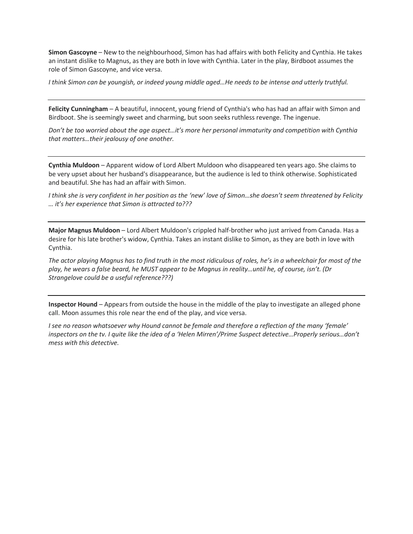**Simon Gascoyne** – New to the neighbourhood, Simon has had affairs with both Felicity and Cynthia. He takes an instant dislike to Magnus, as they are both in love with Cynthia. Later in the play, Birdboot assumes the role of Simon Gascoyne, and vice versa.

*I think Simon can be youngish, or indeed young middle aged…He needs to be intense and utterly truthful.*

**Felicity Cunningham** – A beautiful, innocent, young friend of Cynthia's who has had an affair with Simon and Birdboot. She is seemingly sweet and charming, but soon seeks ruthless revenge. The ingenue.

*Don't be too worried about the age aspect…it's more her personal immaturity and competition with Cynthia that matters…their jealousy of one another.*

**Cynthia Muldoon** – Apparent widow of Lord Albert Muldoon who disappeared ten years ago. She claims to be very upset about her husband's disappearance, but the audience is led to think otherwise. Sophisticated and beautiful. She has had an affair with Simon.

*I think she is very confident in her position as the 'new' love of Simon…she doesn't seem threatened by Felicity … it's her experience that Simon is attracted to???*

**Major Magnus Muldoon** – Lord Albert Muldoon's crippled half-brother who just arrived from Canada. Has a desire for his late brother's widow, Cynthia. Takes an instant dislike to Simon, as they are both in love with Cynthia.

*The actor playing Magnus has to find truth in the most ridiculous of roles, he's in a wheelchair for most of the play, he wears a false beard, he MUST appear to be Magnus in reality…until he, of course, isn't. (Dr Strangelove could be a useful reference???)*

**Inspector Hound** – Appears from outside the house in the middle of the play to investigate an alleged phone call. Moon assumes this role near the end of the play, and vice versa.

*I see no reason whatsoever why Hound cannot be female and therefore a reflection of the many 'female' inspectors on the tv. I quite like the idea of a 'Helen Mirren'/Prime Suspect detective…Properly serious…don't mess with this detective.*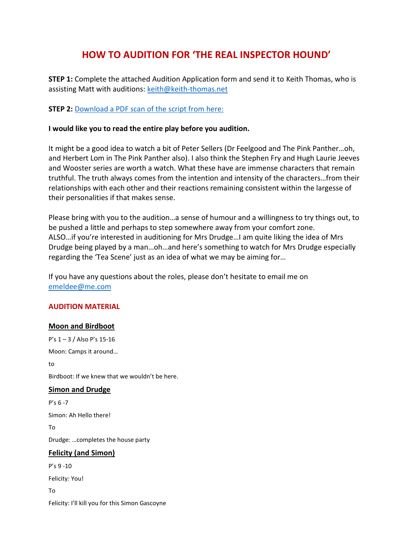# **HOW TO AUDITION FOR 'THE REAL INSPECTOR HOUND'**

**STEP 1:** Complete the attached Audition Application form and send it to Keith Thomas, who is assisting Matt with auditions: [keith@keith-thomas.net](mailto:keith@keith-thomas.net)

## **STEP 2:** [Download a PDF scan of the script from here:](https://www.gtguk.com/inspector-hound-audition-page)

### **I would like you to read the entire play before you audition.**

It might be a good idea to watch a bit of Peter Sellers (Dr Feelgood and The Pink Panther…oh, and Herbert Lom in The Pink Panther also). I also think the Stephen Fry and Hugh Laurie Jeeves and Wooster series are worth a watch. What these have are immense characters that remain truthful. The truth always comes from the intention and intensity of the characters…from their relationships with each other and their reactions remaining consistent within the largesse of their personalities if that makes sense.

Please bring with you to the audition…a sense of humour and a willingness to try things out, to be pushed a little and perhaps to step somewhere away from your comfort zone. ALSO…if you're interested in auditioning for Mrs Drudge…I am quite liking the idea of Mrs Drudge being played by a man…oh…and here's something to watch for Mrs Drudge especially regarding the 'Tea Scene' just as an idea of what we may be aiming for…

If you have any questions about the roles, please don't hesitate to email me on [emeldee@me.com](mailto:emeldee@me.com)

### **AUDITION MATERIAL**

### **Moon and Birdboot**

P's 1 – 3 / Also P's 15-16 Moon: Camps it around… to Birdboot: If we knew that we wouldn't be here. **Simon and Drudge** P's 6 -7 Simon: Ah Hello there! To Drudge: …completes the house party **Felicity (and Simon)** P's 9 -10 Felicity: You! To

Felicity: I'll kill you for this Simon Gascoyne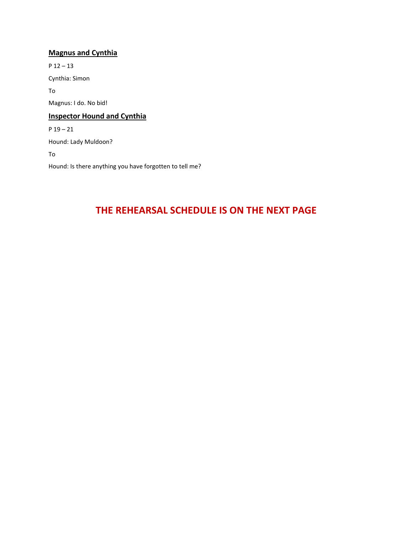## **Magnus and Cynthia**

P 12 – 13

Cynthia: Simon

To

Magnus: I do. No bid!

## **Inspector Hound and Cynthia**

P 19 – 21

Hound: Lady Muldoon?

To

Hound: Is there anything you have forgotten to tell me?

# **THE REHEARSAL SCHEDULE IS ON THE NEXT PAGE**